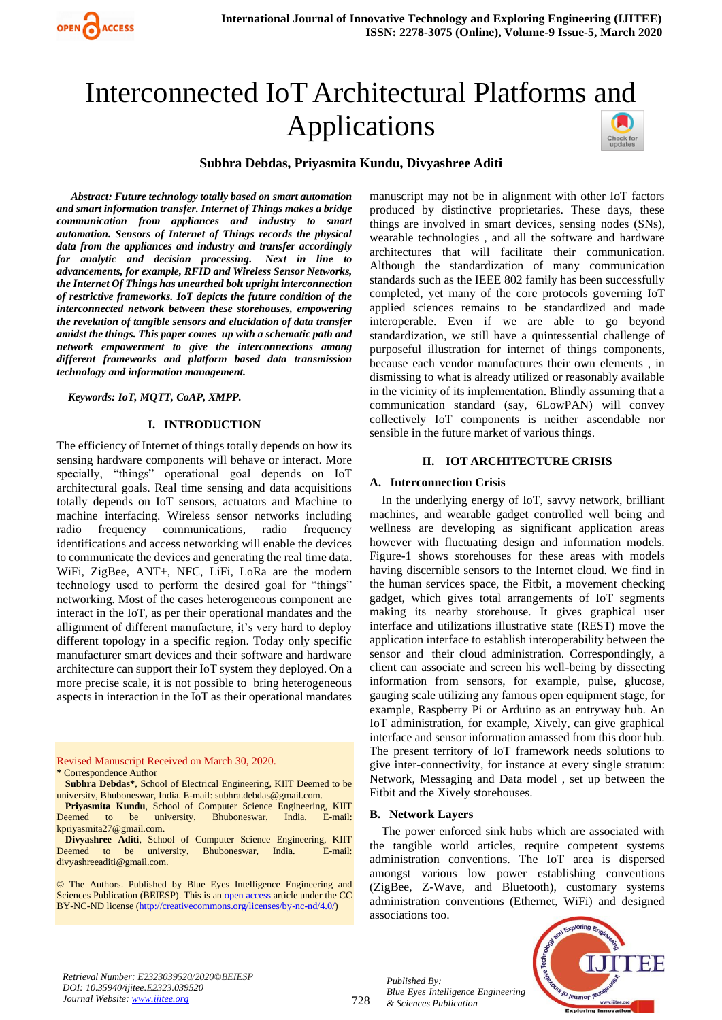

# Interconnected IoT Architectural Platforms and Applications



#### **Subhra Debdas, Priyasmita Kundu, Divyashree Aditi**

 *Abstract: Future technology totally based on smart automation and smart information transfer. Internet of Things makes a bridge communication from appliances and industry to smart automation. Sensors of Internet of Things records the physical data from the appliances and industry and transfer accordingly for analytic and decision processing. Next in line to advancements, for example, RFID and Wireless Sensor Networks, the Internet Of Things has unearthed bolt upright interconnection of restrictive frameworks. IoT depicts the future condition of the interconnected network between these storehouses, empowering the revelation of tangible sensors and elucidation of data transfer amidst the things. This paper comes up with a schematic path and network empowerment to give the interconnections among different frameworks and platform based data transmission technology and information management.*

#### *Keywords: IoT, MQTT, CoAP, XMPP.*

#### **I. INTRODUCTION**

The efficiency of Internet of things totally depends on how its sensing hardware components will behave or interact. More specially, "things" operational goal depends on IoT architectural goals. Real time sensing and data acquisitions totally depends on IoT sensors, actuators and Machine to machine interfacing. Wireless sensor networks including radio frequency communications, radio frequency identifications and access networking will enable the devices to communicate the devices and generating the real time data. WiFi, ZigBee, ANT+, NFC, LiFi, LoRa are the modern technology used to perform the desired goal for "things" networking. Most of the cases heterogeneous component are interact in the IoT, as per their operational mandates and the allignment of different manufacture, it's very hard to deploy different topology in a specific region. Today only specific manufacturer smart devices and their software and hardware architecture can support their IoT system they deployed. On a more precise scale, it is not possible to bring heterogeneous aspects in interaction in the IoT as their operational mandates

Revised Manuscript Received on March 30, 2020.

**\*** Correspondence Author

**Subhra Debdas\***, School of Electrical Engineering, KIIT Deemed to be university, Bhuboneswar, India. E-mail: subhra.debdas@gmail.com.

**Priyasmita Kundu**, School of Computer Science Engineering, KIIT Deemed to be university, Bhuboneswar, India. E-mail: kpriyasmita27@gmail.com.

**Divyashree Aditi**, School of Computer Science Engineering, KIIT Deemed to be university, Bhuboneswar, India. E-mail: divyashreeaditi@gmail.com.

© The Authors. Published by Blue Eyes Intelligence Engineering and Sciences Publication (BEIESP). This is a[n open access](https://www.openaccess.nl/en/open-publications) article under the CC BY-NC-ND license [\(http://creativecommons.org/licenses/by-nc-nd/4.0/\)](http://creativecommons.org/licenses/by-nc-nd/4.0/)

manuscript may not be in alignment with other IoT factors produced by distinctive proprietaries. These days, these things are involved in smart devices, sensing nodes (SNs), wearable technologies , and all the software and hardware architectures that will facilitate their communication. Although the standardization of many communication standards such as the IEEE 802 family has been successfully completed, yet many of the core protocols governing IoT applied sciences remains to be standardized and made interoperable. Even if we are able to go beyond standardization, we still have a quintessential challenge of purposeful illustration for internet of things components, because each vendor manufactures their own elements , in dismissing to what is already utilized or reasonably available in the vicinity of its implementation. Blindly assuming that a communication standard (say, 6LowPAN) will convey collectively IoT components is neither ascendable nor sensible in the future market of various things.

#### **II. IOT ARCHITECTURE CRISIS**

#### **A. Interconnection Crisis**

In the underlying energy of IoT, savvy network, brilliant machines, and wearable gadget controlled well being and wellness are developing as significant application areas however with fluctuating design and information models. Figure-1 shows storehouses for these areas with models having discernible sensors to the Internet cloud. We find in the human services space, the Fitbit, a movement checking gadget, which gives total arrangements of IoT segments making its nearby storehouse. It gives graphical user interface and utilizations illustrative state (REST) move the application interface to establish interoperability between the sensor and their cloud administration. Correspondingly, a client can associate and screen his well-being by dissecting information from sensors, for example, pulse, glucose, gauging scale utilizing any famous open equipment stage, for example, Raspberry Pi or Arduino as an entryway hub. An IoT administration, for example, Xively, can give graphical interface and sensor information amassed from this door hub. The present territory of IoT framework needs solutions to give inter-connectivity, for instance at every single stratum: Network, Messaging and Data model , set up between the Fitbit and the Xively storehouses.

#### **B. Network Layers**

The power enforced sink hubs which are associated with the tangible world articles, require competent systems administration conventions. The IoT area is dispersed amongst various low power establishing conventions (ZigBee, Z-Wave, and Bluetooth), customary systems administration conventions (Ethernet, WiFi) and designed associations too.



*Retrieval Number: E2323039520/2020©BEIESP DOI: 10.35940/ijitee.E2323.039520 Journal Website[: www.ijitee.org](http://www.ijitee.org/)*

728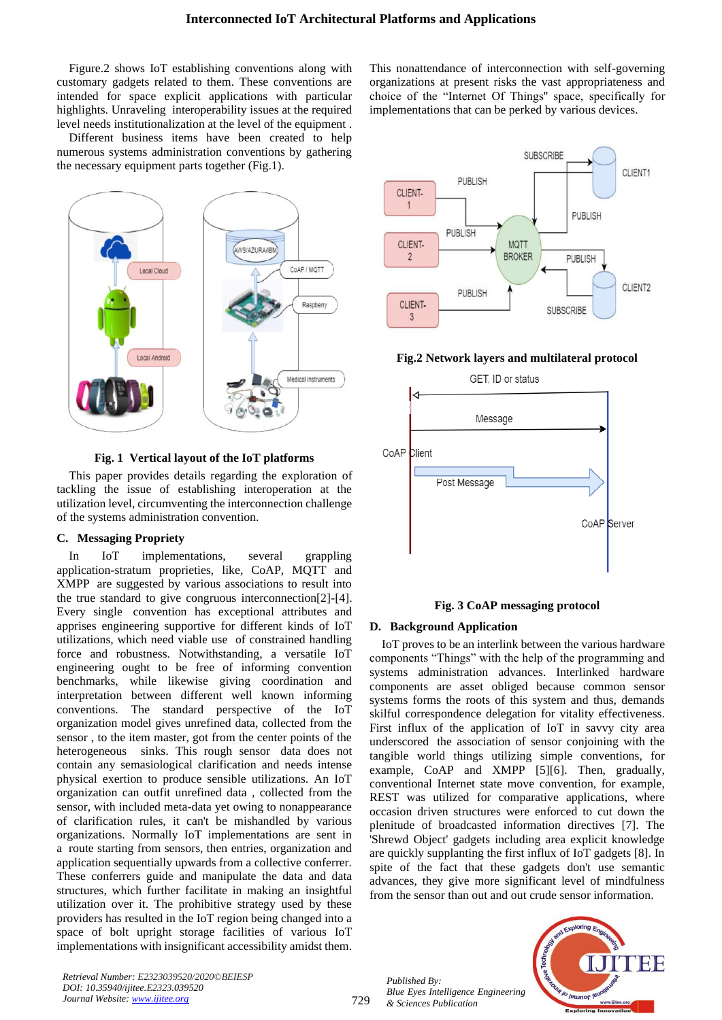Figure.2 shows IoT establishing conventions along with customary gadgets related to them. These conventions are intended for space explicit applications with particular highlights. Unraveling interoperability issues at the required level needs institutionalization at the level of the equipment .

Different business items have been created to help numerous systems administration conventions by gathering the necessary equipment parts together (Fig.1).



**Fig. 1 Vertical layout of the IoT platforms**

This paper provides details regarding the exploration of tackling the issue of establishing interoperation at the utilization level, circumventing the interconnection challenge of the systems administration convention.

## **C. Messaging Propriety**

In IoT implementations, several grappling application-stratum proprieties, like, CoAP, MQTT and XMPP are suggested by various associations to result into the true standard to give congruous interconnection[2]-[4]. Every single convention has exceptional attributes and apprises engineering supportive for different kinds of IoT utilizations, which need viable use of constrained handling force and robustness. Notwithstanding, a versatile IoT engineering ought to be free of informing convention benchmarks, while likewise giving coordination and interpretation between different well known informing conventions. The standard perspective of the IoT organization model gives unrefined data, collected from the sensor , to the item master, got from the center points of the heterogeneous sinks. This rough sensor data does not contain any semasiological clarification and needs intense physical exertion to produce sensible utilizations. An IoT organization can outfit unrefined data , collected from the sensor, with included meta-data yet owing to nonappearance of clarification rules, it can't be mishandled by various organizations. Normally IoT implementations are sent in a route starting from sensors, then entries, organization and application sequentially upwards from a collective conferrer. These conferrers guide and manipulate the data and data structures, which further facilitate in making an insightful utilization over it. The prohibitive strategy used by these providers has resulted in the IoT region being changed into a space of bolt upright storage facilities of various IoT implementations with insignificant accessibility amidst them. This nonattendance of interconnection with self-governing organizations at present risks the vast appropriateness and choice of the "Internet Of Things'' space, specifically for implementations that can be perked by various devices.



#### **Fig.2 Network layers and multilateral protocol**



**Fig. 3 CoAP messaging protocol**

## **D. Background Application**

IoT proves to be an interlink between the various hardware components "Things" with the help of the programming and systems administration advances. Interlinked hardware components are asset obliged because common sensor systems forms the roots of this system and thus, demands skilful correspondence delegation for vitality effectiveness. First influx of the application of IoT in savvy city area underscored the association of sensor conjoining with the tangible world things utilizing simple conventions, for example, CoAP and XMPP [5][6]. Then, gradually, conventional Internet state move convention, for example, REST was utilized for comparative applications, where occasion driven structures were enforced to cut down the plenitude of broadcasted information directives [7]. The 'Shrewd Object' gadgets including area explicit knowledge are quickly supplanting the first influx of IoT gadgets [8]. In spite of the fact that these gadgets don't use semantic advances, they give more significant level of mindfulness from the sensor than out and out crude sensor information.

*Retrieval Number: E2323039520/2020©BEIESP DOI: 10.35940/ijitee.E2323.039520 Journal Website[: www.ijitee.org](http://www.ijitee.org/)*

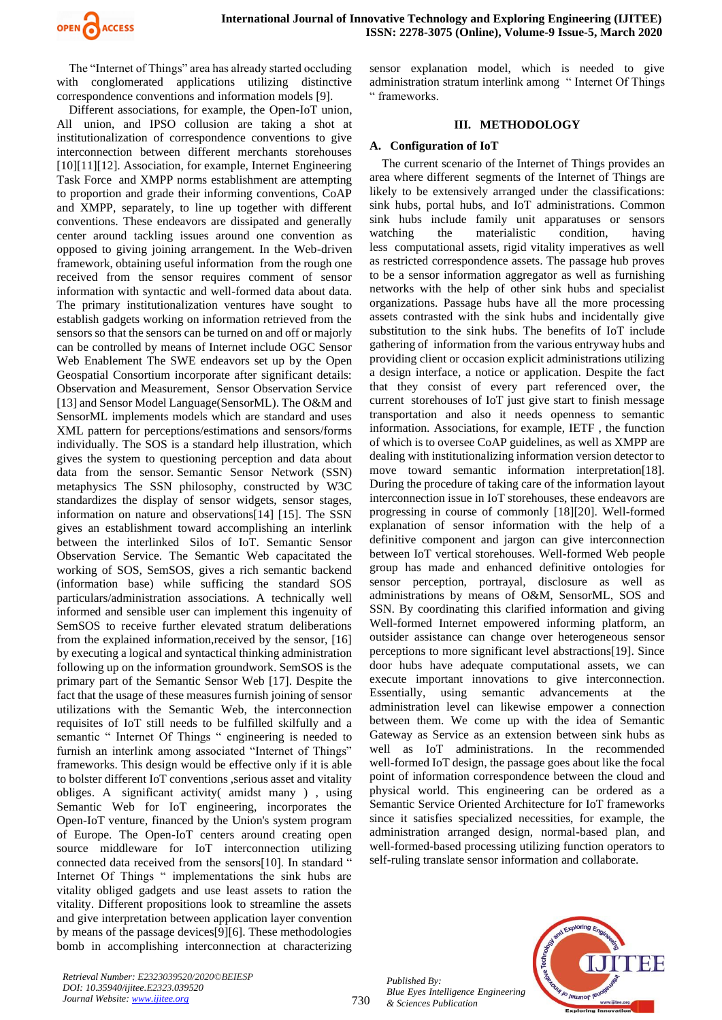

The "Internet of Things" area has already started occluding with conglomerated applications utilizing distinctive correspondence conventions and information models [9].

Different associations, for example, the Open-IoT union, All union, and IPSO collusion are taking a shot at institutionalization of correspondence conventions to give interconnection between different merchants storehouses [10][11][12]. Association, for example, Internet Engineering Task Force and XMPP norms establishment are attempting to proportion and grade their informing conventions, CoAP and XMPP, separately, to line up together with different conventions. These endeavors are dissipated and generally center around tackling issues around one convention as opposed to giving joining arrangement. In the Web-driven framework, obtaining useful information from the rough one received from the sensor requires comment of sensor information with syntactic and well-formed data about data. The primary institutionalization ventures have sought to establish gadgets working on information retrieved from the sensors so that the sensors can be turned on and off or majorly can be controlled by means of Internet include OGC Sensor Web Enablement The SWE endeavors set up by the Open Geospatial Consortium incorporate after significant details: Observation and Measurement, Sensor Observation Service [13] and Sensor Model Language(SensorML). The O&M and SensorML implements models which are standard and uses XML pattern for perceptions/estimations and sensors/forms individually. The SOS is a standard help illustration, which gives the system to questioning perception and data about data from the sensor. Semantic Sensor Network (SSN) metaphysics The SSN philosophy, constructed by W3C standardizes the display of sensor widgets, sensor stages, information on nature and observations[14] [15]. The SSN gives an establishment toward accomplishing an interlink between the interlinked Silos of IoT. Semantic Sensor Observation Service. The Semantic Web capacitated the working of SOS, SemSOS, gives a rich semantic backend (information base) while sufficing the standard SOS particulars/administration associations. A technically well informed and sensible user can implement this ingenuity of SemSOS to receive further elevated stratum deliberations from the explained information,received by the sensor, [16] by executing a logical and syntactical thinking administration following up on the information groundwork. SemSOS is the primary part of the Semantic Sensor Web [17]. Despite the fact that the usage of these measures furnish joining of sensor utilizations with the Semantic Web, the interconnection requisites of IoT still needs to be fulfilled skilfully and a semantic " Internet Of Things " engineering is needed to furnish an interlink among associated "Internet of Things" frameworks. This design would be effective only if it is able to bolster different IoT conventions ,serious asset and vitality obliges. A significant activity( amidst many ) , using Semantic Web for IoT engineering, incorporates the Open-IoT venture, financed by the Union's system program of Europe. The Open-IoT centers around creating open source middleware for IoT interconnection utilizing connected data received from the sensors[10]. In standard " Internet Of Things " implementations the sink hubs are vitality obliged gadgets and use least assets to ration the vitality. Different propositions look to streamline the assets and give interpretation between application layer convention by means of the passage devices[9][6]. These methodologies bomb in accomplishing interconnection at characterizing

sensor explanation model, which is needed to give administration stratum interlink among " Internet Of Things " frameworks.

#### **III. METHODOLOGY**

## **A. Configuration of IoT**

The current scenario of the Internet of Things provides an area where different segments of the Internet of Things are likely to be extensively arranged under the classifications: sink hubs, portal hubs, and IoT administrations. Common sink hubs include family unit apparatuses or sensors watching the materialistic condition, having less computational assets, rigid vitality imperatives as well as restricted correspondence assets. The passage hub proves to be a sensor information aggregator as well as furnishing networks with the help of other sink hubs and specialist organizations. Passage hubs have all the more processing assets contrasted with the sink hubs and incidentally give substitution to the sink hubs. The benefits of IoT include gathering of information from the various entryway hubs and providing client or occasion explicit administrations utilizing a design interface, a notice or application. Despite the fact that they consist of every part referenced over, the current storehouses of IoT just give start to finish message transportation and also it needs openness to semantic information. Associations, for example, IETF , the function of which is to oversee CoAP guidelines, as well as XMPP are dealing with institutionalizing information version detector to move toward semantic information interpretation[18]. During the procedure of taking care of the information layout interconnection issue in IoT storehouses, these endeavors are progressing in course of commonly [18][20]. Well-formed explanation of sensor information with the help of a definitive component and jargon can give interconnection between IoT vertical storehouses. Well-formed Web people group has made and enhanced definitive ontologies for sensor perception, portrayal, disclosure as well as administrations by means of O&M, SensorML, SOS and SSN. By coordinating this clarified information and giving Well-formed Internet empowered informing platform, an outsider assistance can change over heterogeneous sensor perceptions to more significant level abstractions[19]. Since door hubs have adequate computational assets, we can execute important innovations to give interconnection. Essentially, using semantic advancements at the administration level can likewise empower a connection between them. We come up with the idea of Semantic Gateway as Service as an extension between sink hubs as well as IoT administrations. In the recommended well-formed IoT design, the passage goes about like the focal point of information correspondence between the cloud and physical world. This engineering can be ordered as a Semantic Service Oriented Architecture for IoT frameworks since it satisfies specialized necessities, for example, the administration arranged design, normal-based plan, and well-formed-based processing utilizing function operators to self-ruling translate sensor information and collaborate.



730

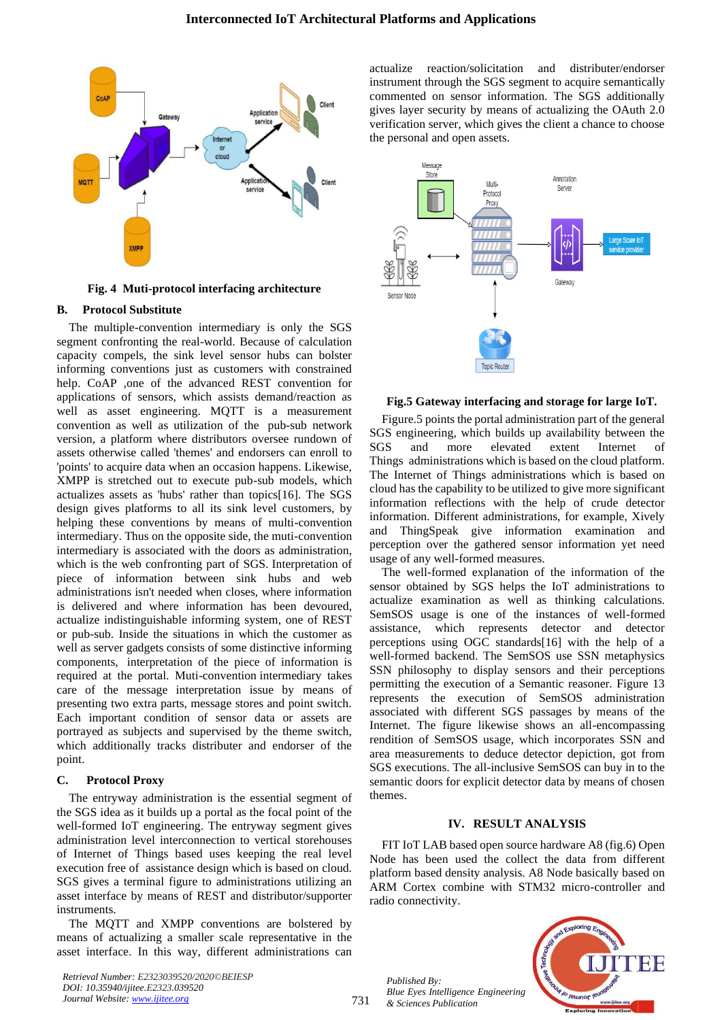

**Fig. 4 Muti-protocol interfacing architecture**

#### **B. Protocol Substitute**

The multiple-convention intermediary is only the SGS segment confronting the real-world. Because of calculation capacity compels, the sink level sensor hubs can bolster informing conventions just as customers with constrained help. CoAP ,one of the advanced REST convention for applications of sensors, which assists demand/reaction as well as asset engineering. MQTT is a measurement convention as well as utilization of the pub-sub network version, a platform where distributors oversee rundown of assets otherwise called 'themes' and endorsers can enroll to 'points' to acquire data when an occasion happens. Likewise, XMPP is stretched out to execute pub-sub models, which actualizes assets as 'hubs' rather than topics[16]. The SGS design gives platforms to all its sink level customers, by helping these conventions by means of multi-convention intermediary. Thus on the opposite side, the muti-convention intermediary is associated with the doors as administration, which is the web confronting part of SGS. Interpretation of piece of information between sink hubs and web administrations isn't needed when closes, where information is delivered and where information has been devoured, actualize indistinguishable informing system, one of REST or pub-sub. Inside the situations in which the customer as well as server gadgets consists of some distinctive informing components, interpretation of the piece of information is required at the portal. Muti-convention intermediary takes care of the message interpretation issue by means of presenting two extra parts, message stores and point switch. Each important condition of sensor data or assets are portrayed as subjects and supervised by the theme switch, which additionally tracks distributer and endorser of the point.

## **C. Protocol Proxy**

The entryway administration is the essential segment of the SGS idea as it builds up a portal as the focal point of the well-formed IoT engineering. The entryway segment gives administration level interconnection to vertical storehouses of Internet of Things based uses keeping the real level execution free of assistance design which is based on cloud. SGS gives a terminal figure to administrations utilizing an asset interface by means of REST and distributor/supporter instruments.

The MQTT and XMPP conventions are bolstered by means of actualizing a smaller scale representative in the asset interface. In this way, different administrations can

*Retrieval Number: E2323039520/2020©BEIESP DOI: 10.35940/ijitee.E2323.039520 Journal Website[: www.ijitee.org](http://www.ijitee.org/)*

actualize reaction/solicitation and distributer/endorser instrument through the SGS segment to acquire semantically commented on sensor information. The SGS additionally gives layer security by means of actualizing the OAuth 2.0 verification server, which gives the client a chance to choose the personal and open assets.



#### **Fig.5 Gateway interfacing and storage for large IoT.**

Figure.5 points the portal administration part of the general SGS engineering, which builds up availability between the SGS and more elevated extent Internet of Things administrations which is based on the cloud platform. The Internet of Things administrations which is based on cloud has the capability to be utilized to give more significant information reflections with the help of crude detector information. Different administrations, for example, Xively and ThingSpeak give information examination and perception over the gathered sensor information yet need usage of any well-formed measures.

The well-formed explanation of the information of the sensor obtained by SGS helps the IoT administrations to actualize examination as well as thinking calculations. SemSOS usage is one of the instances of well-formed assistance, which represents detector and detector perceptions using OGC standards[16] with the help of a well-formed backend. The SemSOS use SSN metaphysics SSN philosophy to display sensors and their perceptions permitting the execution of a Semantic reasoner. Figure 13 represents the execution of SemSOS administration associated with different SGS passages by means of the Internet. The figure likewise shows an all-encompassing rendition of SemSOS usage, which incorporates SSN and area measurements to deduce detector depiction, got from SGS executions. The all-inclusive SemSOS can buy in to the semantic doors for explicit detector data by means of chosen themes.

#### **IV. RESULT ANALYSIS**

FIT IoT LAB based open source hardware A8 (fig.6) Open Node has been used the collect the data from different platform based density analysis. A8 Node basically based on ARM Cortex combine with STM32 micro-controller and radio connectivity.

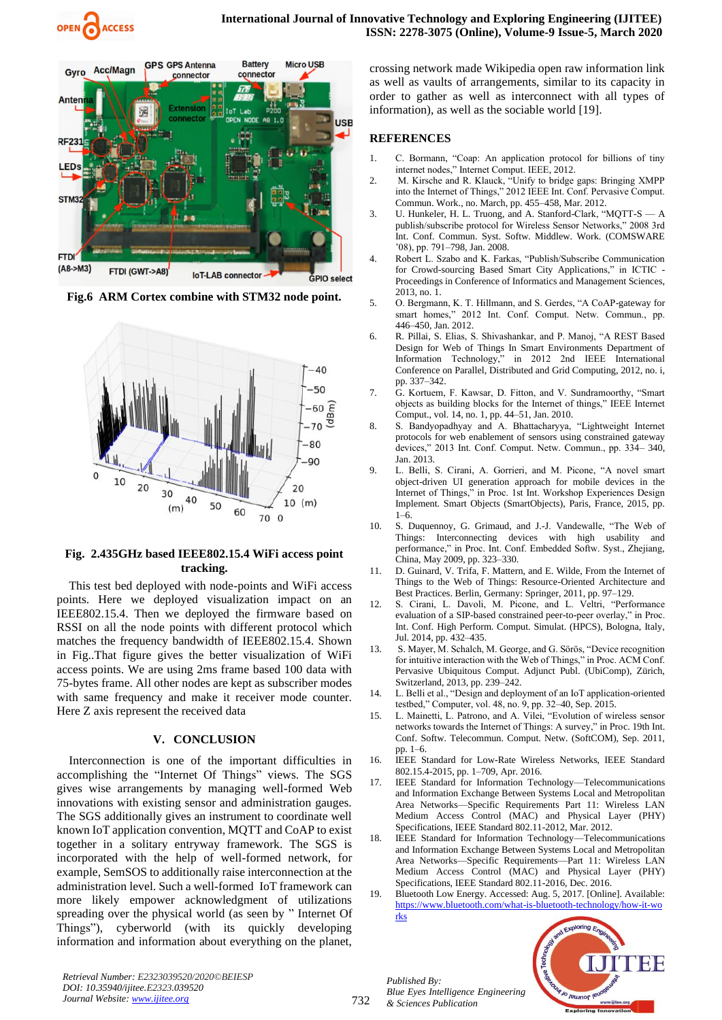



**Fig.6 ARM Cortex combine with STM32 node point.**



# **Fig. 2.435GHz based IEEE802.15.4 WiFi access point tracking.**

This test bed deployed with node-points and WiFi access points. Here we deployed visualization impact on an IEEE802.15.4. Then we deployed the firmware based on RSSI on all the node points with different protocol which matches the frequency bandwidth of IEEE802.15.4. Shown in Fig..That figure gives the better visualization of WiFi access points. We are using 2ms frame based 100 data with 75-bytes frame. All other nodes are kept as subscriber modes with same frequency and make it receiver mode counter. Here Z axis represent the received data

# **V. CONCLUSION**

Interconnection is one of the important difficulties in accomplishing the "Internet Of Things" views. The SGS gives wise arrangements by managing well-formed Web innovations with existing sensor and administration gauges. The SGS additionally gives an instrument to coordinate well known IoT application convention, MQTT and CoAP to exist together in a solitary entryway framework. The SGS is incorporated with the help of well-formed network, for example, SemSOS to additionally raise interconnection at the administration level. Such a well-formed IoT framework can more likely empower acknowledgment of utilizations spreading over the physical world (as seen by " Internet Of Things"), cyberworld (with its quickly developing information and information about everything on the planet, crossing network made Wikipedia open raw information link as well as vaults of arrangements, similar to its capacity in order to gather as well as interconnect with all types of information), as well as the sociable world [19].

# **REFERENCES**

- 1. C. Bormann, "Coap: An application protocol for billions of tiny internet nodes," Internet Comput. IEEE, 2012.
- 2. M. Kirsche and R. Klauck, "Unify to bridge gaps: Bringing XMPP into the Internet of Things," 2012 IEEE Int. Conf. Pervasive Comput. Commun. Work., no. March, pp. 455–458, Mar. 2012.
- 3. U. Hunkeler, H. L. Truong, and A. Stanford-Clark, "MQTT-S A publish/subscribe protocol for Wireless Sensor Networks," 2008 3rd Int. Conf. Commun. Syst. Softw. Middlew. Work. (COMSWARE '08), pp. 791–798, Jan. 2008.
- 4. Robert L. Szabo and K. Farkas, "Publish/Subscribe Communication for Crowd-sourcing Based Smart City Applications," in ICTIC - Proceedings in Conference of Informatics and Management Sciences, 2013, no. 1.
- 5. O. Bergmann, K. T. Hillmann, and S. Gerdes, "A CoAP-gateway for smart homes," 2012 Int. Conf. Comput. Netw. Commun., pp. 446–450, Jan. 2012.
- 6. R. Pillai, S. Elias, S. Shivashankar, and P. Manoj, "A REST Based Design for Web of Things In Smart Environments Department of Information Technology," in 2012 2nd IEEE International Conference on Parallel, Distributed and Grid Computing, 2012, no. i, pp. 337–342.
- 7. G. Kortuem, F. Kawsar, D. Fitton, and V. Sundramoorthy, "Smart objects as building blocks for the Internet of things," IEEE Internet Comput., vol. 14, no. 1, pp. 44–51, Jan. 2010.
- 8. S. Bandyopadhyay and A. Bhattacharyya, "Lightweight Internet protocols for web enablement of sensors using constrained gateway devices," 2013 Int. Conf. Comput. Netw. Commun., pp. 334– 340, Jan. 2013.
- 9. L. Belli, S. Cirani, A. Gorrieri, and M. Picone, "A novel smart object-driven UI generation approach for mobile devices in the Internet of Things," in Proc. 1st Int. Workshop Experiences Design Implement. Smart Objects (SmartObjects), Paris, France, 2015, pp. 1–6.
- 10. S. Duquennoy, G. Grimaud, and J.-J. Vandewalle, "The Web of Things: Interconnecting devices with high usability and performance," in Proc. Int. Conf. Embedded Softw. Syst., Zhejiang, China, May 2009, pp. 323–330.
- 11. D. Guinard, V. Trifa, F. Mattern, and E. Wilde, From the Internet of Things to the Web of Things: Resource-Oriented Architecture and Best Practices. Berlin, Germany: Springer, 2011, pp. 97–129.
- 12. S. Cirani, L. Davoli, M. Picone, and L. Veltri, "Performance evaluation of a SIP-based constrained peer-to-peer overlay," in Proc. Int. Conf. High Perform. Comput. Simulat. (HPCS), Bologna, Italy, Jul. 2014, pp. 432–435.
- 13. S. Mayer, M. Schalch, M. George, and G. Sörös, "Device recognition for intuitive interaction with the Web of Things," in Proc. ACM Conf. Pervasive Ubiquitous Comput. Adjunct Publ. (UbiComp), Zürich, Switzerland, 2013, pp. 239–242.
- 14. L. Belli et al., "Design and deployment of an IoT application-oriented testbed," Computer, vol. 48, no. 9, pp. 32–40, Sep. 2015.
- 15. L. Mainetti, L. Patrono, and A. Vilei, "Evolution of wireless sensor networks towards the Internet of Things: A survey," in Proc. 19th Int. Conf. Softw. Telecommun. Comput. Netw. (SoftCOM), Sep. 2011, pp. 1–6.
- 16. IEEE Standard for Low-Rate Wireless Networks, IEEE Standard 802.15.4-2015, pp. 1–709, Apr. 2016.
- 17. IEEE Standard for Information Technology—Telecommunications and Information Exchange Between Systems Local and Metropolitan Area Networks—Specific Requirements Part 11: Wireless LAN Medium Access Control (MAC) and Physical Layer (PHY) Specifications, IEEE Standard 802.11-2012, Mar. 2012.
- 18. IEEE Standard for Information Technology—Telecommunications and Information Exchange Between Systems Local and Metropolitan Area Networks—Specific Requirements—Part 11: Wireless LAN Medium Access Control (MAC) and Physical Layer (PHY) Specifications, IEEE Standard 802.11-2016, Dec. 2016.
- Bluetooth Low Energy. Accessed: Aug. 5, 2017. [Online]. Available: [https://www.bluetooth.com/what-is-bluetooth-technology/how-it-wo](https://www.bluetooth.com/what-is-bluetooth-technology/how-it-works) [rks](https://www.bluetooth.com/what-is-bluetooth-technology/how-it-works)



*Retrieval Number: E2323039520/2020©BEIESP DOI: 10.35940/ijitee.E2323.039520 Journal Website[: www.ijitee.org](http://www.ijitee.org/)*

732